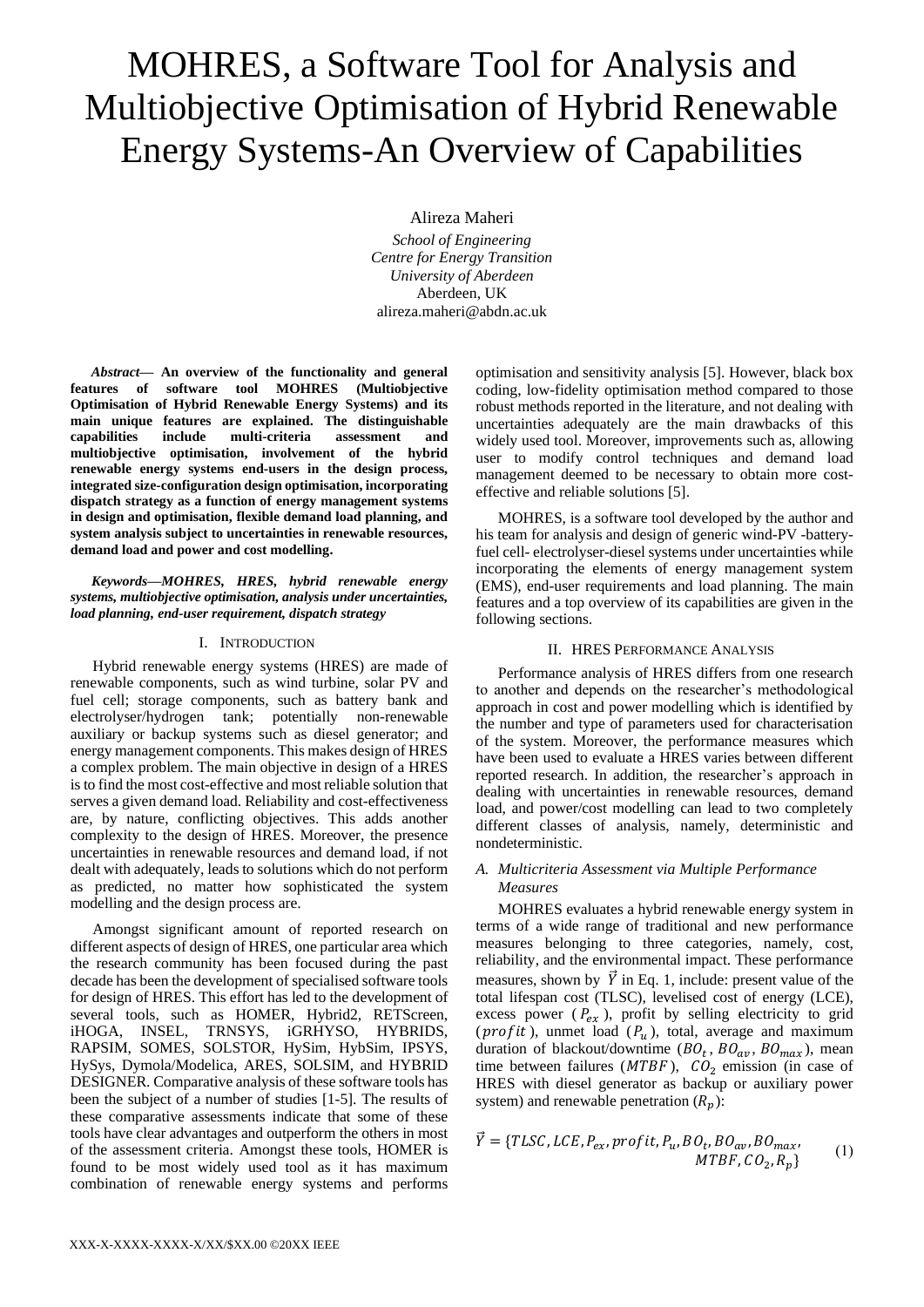# MOHRES, a Software Tool for Analysis and Multiobjective Optimisation of Hybrid Renewable Energy Systems-An Overview of Capabilities

Alireza Maheri

*School of Engineering Centre for Energy Transition University of Aberdeen* Aberdeen, UK alireza.maheri@abdn.ac.uk

*Abstract***— An overview of the functionality and general features of software tool MOHRES (Multiobjective Optimisation of Hybrid Renewable Energy Systems) and its main unique features are explained. The distinguishable capabilities include multi-criteria assessment and multiobjective optimisation, involvement of the hybrid renewable energy systems end-users in the design process, integrated size-configuration design optimisation, incorporating dispatch strategy as a function of energy management systems in design and optimisation, flexible demand load planning, and system analysis subject to uncertainties in renewable resources, demand load and power and cost modelling.**

*Keywords—MOHRES, HRES, hybrid renewable energy systems, multiobjective optimisation, analysis under uncertainties, load planning, end-user requirement, dispatch strategy*

# I. INTRODUCTION

Hybrid renewable energy systems (HRES) are made of renewable components, such as wind turbine, solar PV and fuel cell; storage components, such as battery bank and electrolyser/hydrogen tank; potentially non-renewable auxiliary or backup systems such as diesel generator; and energy management components. This makes design of HRES a complex problem. The main objective in design of a HRES is to find the most cost-effective and most reliable solution that serves a given demand load. Reliability and cost-effectiveness are, by nature, conflicting objectives. This adds another complexity to the design of HRES. Moreover, the presence uncertainties in renewable resources and demand load, if not dealt with adequately, leads to solutions which do not perform as predicted, no matter how sophisticated the system modelling and the design process are.

Amongst significant amount of reported research on different aspects of design of HRES, one particular area which the research community has been focused during the past decade has been the development of specialised software tools for design of HRES. This effort has led to the development of several tools, such as HOMER, Hybrid2, RETScreen, iHOGA, INSEL, TRNSYS, iGRHYSO, HYBRIDS, RAPSIM, SOMES, SOLSTOR, HySim, HybSim, IPSYS, HySys, Dymola/Modelica, ARES, SOLSIM, and HYBRID DESIGNER. Comparative analysis of these software tools has been the subject of a number of studies [1-5]. The results of these comparative assessments indicate that some of these tools have clear advantages and outperform the others in most of the assessment criteria. Amongst these tools, HOMER is found to be most widely used tool as it has maximum combination of renewable energy systems and performs

optimisation and sensitivity analysis [5]. However, black box coding, low-fidelity optimisation method compared to those robust methods reported in the literature, and not dealing with uncertainties adequately are the main drawbacks of this widely used tool. Moreover, improvements such as, allowing user to modify control techniques and demand load management deemed to be necessary to obtain more costeffective and reliable solutions [5].

MOHRES, is a software tool developed by the author and his team for analysis and design of generic wind-PV -batteryfuel cell- electrolyser-diesel systems under uncertainties while incorporating the elements of energy management system (EMS), end-user requirements and load planning. The main features and a top overview of its capabilities are given in the following sections.

#### II. HRES PERFORMANCE ANALYSIS

Performance analysis of HRES differs from one research to another and depends on the researcher's methodological approach in cost and power modelling which is identified by the number and type of parameters used for characterisation of the system. Moreover, the performance measures which have been used to evaluate a HRES varies between different reported research. In addition, the researcher's approach in dealing with uncertainties in renewable resources, demand load, and power/cost modelling can lead to two completely different classes of analysis, namely, deterministic and nondeterministic.

# *A. Multicriteria Assessment via Multiple Performance Measures*

MOHRES evaluates a hybrid renewable energy system in terms of a wide range of traditional and new performance measures belonging to three categories, namely, cost, reliability, and the environmental impact. These performance measures, shown by  $\vec{Y}$  in Eq. 1, include: present value of the total lifespan cost (TLSC), levelised cost of energy (LCE), excess power ( $P_{ex}$ ), profit by selling electricity to grid (*profit*), unmet load ( $P_u$ ), total, average and maximum duration of blackout/downtime  $(BO_t, BO_{av}, BO_{max})$ , mean time between failures ( $MTBF$ ),  $CO<sub>2</sub>$  emission (in case of HRES with diesel generator as backup or auxiliary power system) and renewable penetration  $(R_n)$ :

$$
\vec{Y} = \{TLSC, LCE, P_{ex}, profit, P_u, BO_t, BO_{av}, BO_{max}, \newline MTBF, CO_2, R_p\}
$$
 (1)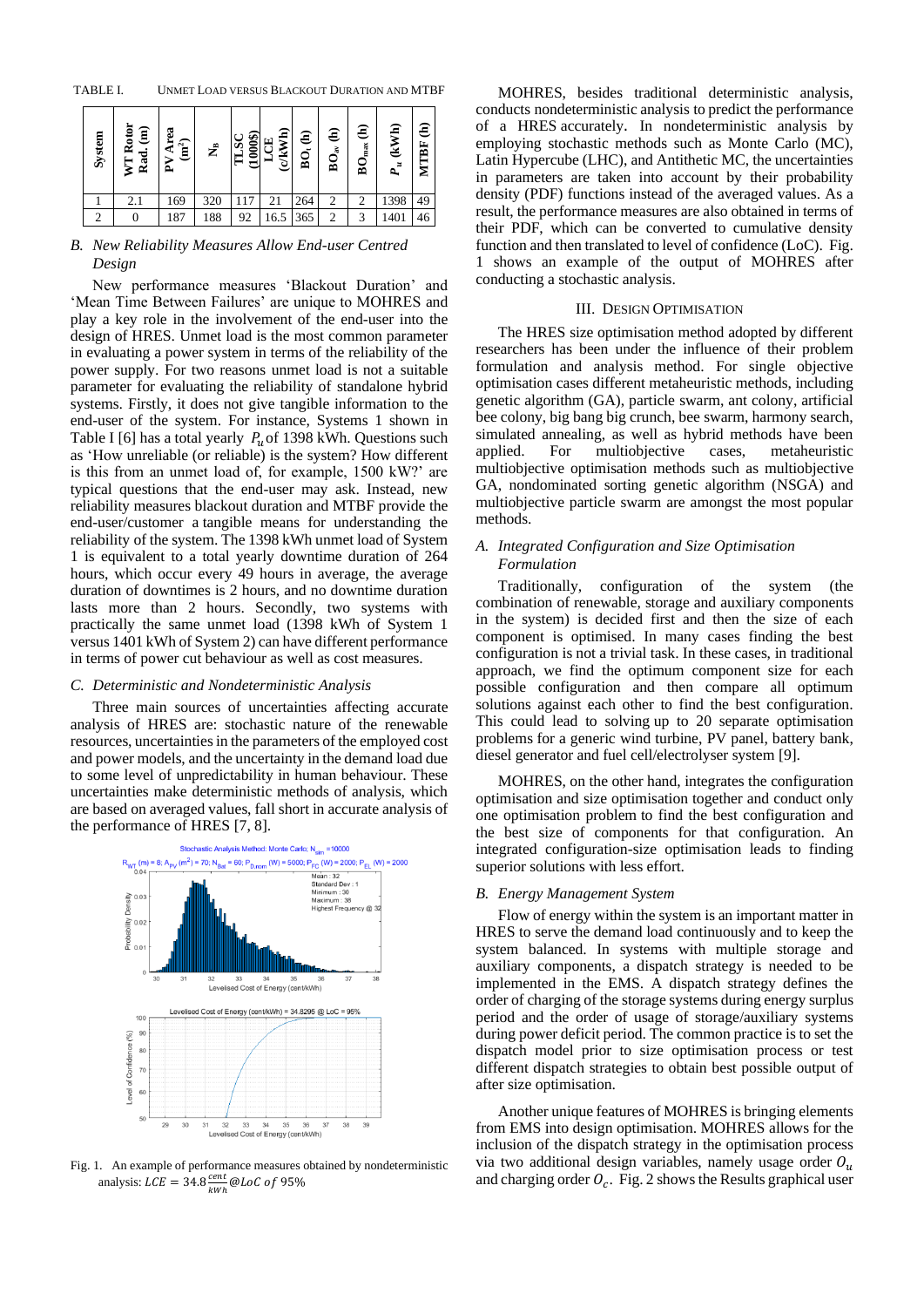TABLE I. UNMET LOAD VERSUS BLACKOUT DURATION AND MTBF

| System | Rotor<br>$\widehat{\mathsf{g}}$<br>Rad<br>⅀ | Area<br>$\mathbf{m}^2$<br>⋗<br>Δ. | £   | $(1000\text{\AA})$<br>ઌ્ | ( c / kWh)<br>LCE | <b>BO, (h)</b> | $\widehat{\mathbf{e}}$<br>$\mathbf{BO}_{\mathrm{av}}$ | €<br>$BO_{max}$ | (kWh)<br>$P_{u}$ | €<br>MTBF |
|--------|---------------------------------------------|-----------------------------------|-----|--------------------------|-------------------|----------------|-------------------------------------------------------|-----------------|------------------|-----------|
|        | 2.1                                         | 169                               | 320 |                          |                   | 264            | 2                                                     | 2               | 1398             | 49        |
|        |                                             | 187                               | 188 | 92                       | 16.5              | 365            | $\overline{2}$                                        | 3               | 1401             | 46        |

# *B. New Reliability Measures Allow End-user Centred Design*

New performance measures 'Blackout Duration' and 'Mean Time Between Failures' are unique to MOHRES and play a key role in the involvement of the end-user into the design of HRES. Unmet load is the most common parameter in evaluating a power system in terms of the reliability of the power supply. For two reasons unmet load is not a suitable parameter for evaluating the reliability of standalone hybrid systems. Firstly, it does not give tangible information to the end-user of the system. For instance, Systems 1 shown in Table I [6] has a total yearly  $P_u$  of 1398 kWh. Questions such as 'How unreliable (or reliable) is the system? How different is this from an unmet load of, for example, 1500 kW?' are typical questions that the end-user may ask. Instead, new reliability measures blackout duration and MTBF provide the end-user/customer a tangible means for understanding the reliability of the system. The 1398 kWh unmet load of System 1 is equivalent to a total yearly downtime duration of 264 hours, which occur every 49 hours in average, the average duration of downtimes is 2 hours, and no downtime duration lasts more than 2 hours. Secondly, two systems with practically the same unmet load (1398 kWh of System 1 versus 1401 kWh of System 2) can have different performance in terms of power cut behaviour as well as cost measures.

# *C. Deterministic and Nondeterministic Analysis*

Three main sources of uncertainties affecting accurate analysis of HRES are: stochastic nature of the renewable resources, uncertainties in the parameters of the employed cost and power models, and the uncertainty in the demand load due to some level of unpredictability in human behaviour. These uncertainties make deterministic methods of analysis, which are based on averaged values, fall short in accurate analysis of the performance of HRES [7, 8].



Fig. 1. An example of performance measures obtained by nondeterministic analysis:  $LCE = 34.8 \frac{cent}{t}$  $\frac{cem}{kWh}$  @LoC of 95%

MOHRES, besides traditional deterministic analysis, conducts nondeterministic analysis to predict the performance of a HRES accurately. In nondeterministic analysis by employing stochastic methods such as Monte Carlo (MC), Latin Hypercube (LHC), and Antithetic MC, the uncertainties in parameters are taken into account by their probability density (PDF) functions instead of the averaged values. As a result, the performance measures are also obtained in terms of their PDF, which can be converted to cumulative density function and then translated to level of confidence (LoC). Fig. 1 shows an example of the output of MOHRES after conducting a stochastic analysis.

# III. DESIGN OPTIMISATION

The HRES size optimisation method adopted by different researchers has been under the influence of their problem formulation and analysis method. For single objective optimisation cases different metaheuristic methods, including genetic algorithm (GA), particle swarm, ant colony, artificial bee colony, big bang big crunch, bee swarm, harmony search, simulated annealing, as well as hybrid methods have been applied. For multiobjective cases, metaheuristic multiobjective optimisation methods such as multiobjective GA, nondominated sorting genetic algorithm (NSGA) and multiobjective particle swarm are amongst the most popular methods.

# *A. Integrated Configuration and Size Optimisation Formulation*

Traditionally, configuration of the system (the combination of renewable, storage and auxiliary components in the system) is decided first and then the size of each component is optimised. In many cases finding the best configuration is not a trivial task. In these cases, in traditional approach, we find the optimum component size for each possible configuration and then compare all optimum solutions against each other to find the best configuration. This could lead to solving up to 20 separate optimisation problems for a generic wind turbine, PV panel, battery bank, diesel generator and fuel cell/electrolyser system [9].

MOHRES, on the other hand, integrates the configuration optimisation and size optimisation together and conduct only one optimisation problem to find the best configuration and the best size of components for that configuration. An integrated configuration-size optimisation leads to finding superior solutions with less effort.

#### *B. Energy Management System*

Flow of energy within the system is an important matter in HRES to serve the demand load continuously and to keep the system balanced. In systems with multiple storage and auxiliary components, a dispatch strategy is needed to be implemented in the EMS. A dispatch strategy defines the order of charging of the storage systems during energy surplus period and the order of usage of storage/auxiliary systems during power deficit period. The common practice is to set the dispatch model prior to size optimisation process or test different dispatch strategies to obtain best possible output of after size optimisation.

Another unique features of MOHRES is bringing elements from EMS into design optimisation. MOHRES allows for the inclusion of the dispatch strategy in the optimisation process via two additional design variables, namely usage order  $O_u$ and charging order  $O_c$ . Fig. 2 shows the Results graphical user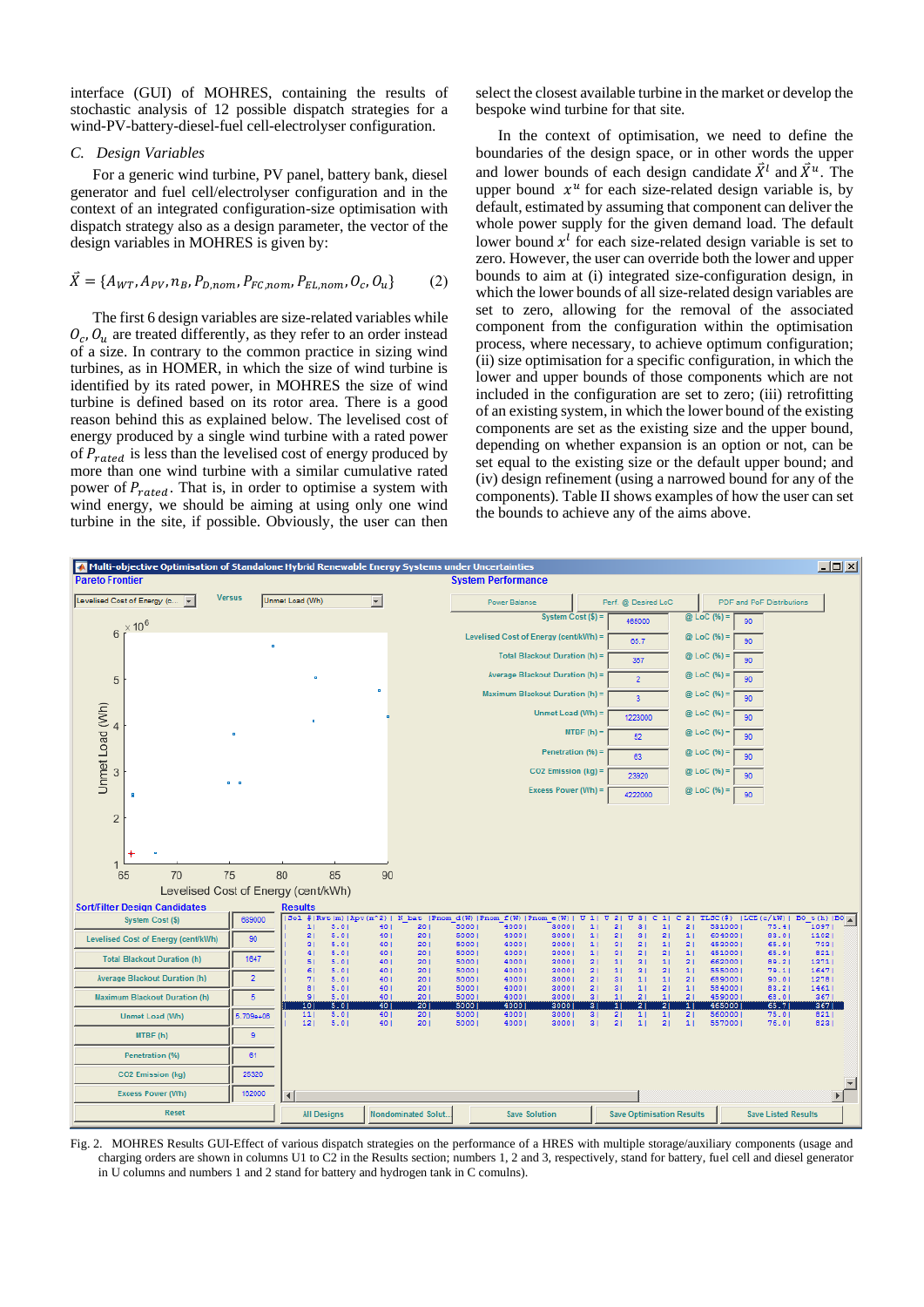interface (GUI) of MOHRES, containing the results of stochastic analysis of 12 possible dispatch strategies for a wind-PV-battery-diesel-fuel cell-electrolyser configuration.

# *C. Design Variables*

For a generic wind turbine, PV panel, battery bank, diesel generator and fuel cell/electrolyser configuration and in the context of an integrated configuration-size optimisation with dispatch strategy also as a design parameter, the vector of the design variables in MOHRES is given by:

# $\vec{X} = \{A_{WT}, A_{PV}, n_B, P_{D,nom}, P_{FC,nom}, P_{EL,nom}, O_c, O_u\}$  (2)

The first 6 design variables are size-related variables while  $O_c$ ,  $O_u$  are treated differently, as they refer to an order instead of a size. In contrary to the common practice in sizing wind turbines, as in HOMER, in which the size of wind turbine is identified by its rated power, in MOHRES the size of wind turbine is defined based on its rotor area. There is a good reason behind this as explained below. The levelised cost of energy produced by a single wind turbine with a rated power of  $P_{rated}$  is less than the levelised cost of energy produced by more than one wind turbine with a similar cumulative rated power of  $P_{rated}$ . That is, in order to optimise a system with wind energy, we should be aiming at using only one wind turbine in the site, if possible. Obviously, the user can then

select the closest available turbine in the market or develop the bespoke wind turbine for that site.

In the context of optimisation, we need to define the boundaries of the design space, or in other words the upper and lower bounds of each design candidate  $\vec{X}^l$  and  $\vec{X}^u$ . The upper bound  $x^u$  for each size-related design variable is, by default, estimated by assuming that component can deliver the whole power supply for the given demand load. The default lower bound  $x<sup>l</sup>$  for each size-related design variable is set to zero. However, the user can override both the lower and upper bounds to aim at (i) integrated size-configuration design, in which the lower bounds of all size-related design variables are set to zero, allowing for the removal of the associated component from the configuration within the optimisation process, where necessary, to achieve optimum configuration; (ii) size optimisation for a specific configuration, in which the lower and upper bounds of those components which are not included in the configuration are set to zero; (iii) retrofitting of an existing system, in which the lower bound of the existing components are set as the existing size and the upper bound, depending on whether expansion is an option or not, can be set equal to the existing size or the default upper bound; and (iv) design refinement (using a narrowed bound for any of the components). Table II shows examples of how the user can set the bounds to achieve any of the aims above.



Fig. 2. MOHRES Results GUI-Effect of various dispatch strategies on the performance of a HRES with multiple storage/auxiliary components (usage and charging orders are shown in columns U1 to C2 in the Results section; numbers 1, 2 and 3, respectively, stand for battery, fuel cell and diesel generator in U columns and numbers 1 and 2 stand for battery and hydrogen tank in C comulns).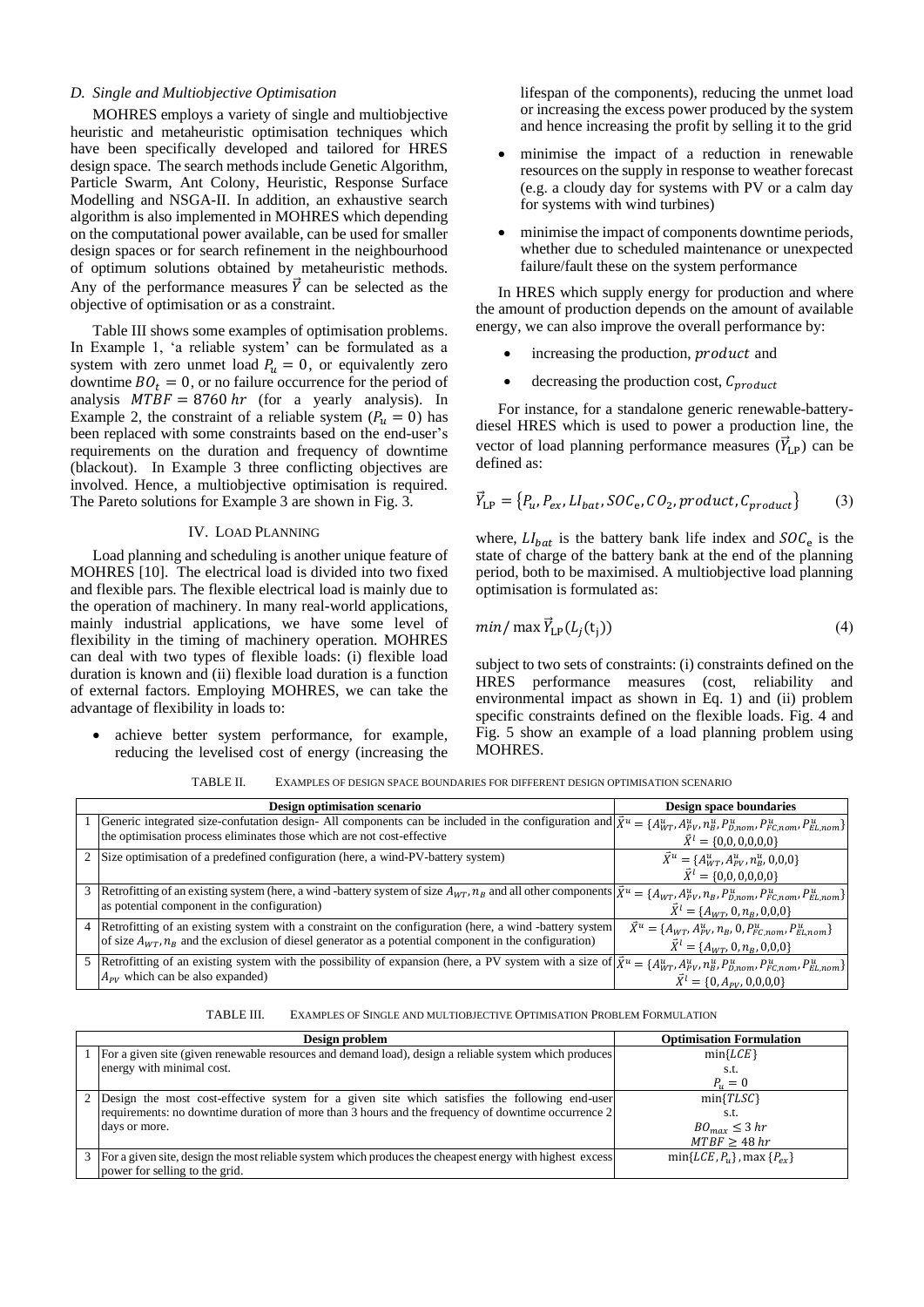## *D. Single and Multiobjective Optimisation*

MOHRES employs a variety of single and multiobjective heuristic and metaheuristic optimisation techniques which have been specifically developed and tailored for HRES design space. The search methods include Genetic Algorithm, Particle Swarm, Ant Colony, Heuristic, Response Surface Modelling and NSGA-II. In addition, an exhaustive search algorithm is also implemented in MOHRES which depending on the computational power available, can be used for smaller design spaces or for search refinement in the neighbourhood of optimum solutions obtained by metaheuristic methods. Any of the performance measures  $\vec{Y}$  can be selected as the objective of optimisation or as a constraint.

Table III shows some examples of optimisation problems. In Example 1, 'a reliable system' can be formulated as a system with zero unmet load  $P_u = 0$ , or equivalently zero downtime  $BO_t = 0$ , or no failure occurrence for the period of analysis  $MTBF = 8760 hr$  (for a yearly analysis). In Example 2, the constraint of a reliable system  $(P_u = 0)$  has been replaced with some constraints based on the end-user's requirements on the duration and frequency of downtime (blackout). In Example 3 three conflicting objectives are involved. Hence, a multiobjective optimisation is required. The Pareto solutions for Example 3 are shown in Fig. 3.

# IV. LOAD PLANNING

Load planning and scheduling is another unique feature of MOHRES [10]. The electrical load is divided into two fixed and flexible pars. The flexible electrical load is mainly due to the operation of machinery. In many real-world applications, mainly industrial applications, we have some level of flexibility in the timing of machinery operation. MOHRES can deal with two types of flexible loads: (i) flexible load duration is known and (ii) flexible load duration is a function of external factors. Employing MOHRES, we can take the advantage of flexibility in loads to:

• achieve better system performance, for example, reducing the levelised cost of energy (increasing the lifespan of the components), reducing the unmet load or increasing the excess power produced by the system and hence increasing the profit by selling it to the grid

- minimise the impact of a reduction in renewable resources on the supply in response to weather forecast (e.g. a cloudy day for systems with PV or a calm day for systems with wind turbines)
- minimise the impact of components downtime periods, whether due to scheduled maintenance or unexpected failure/fault these on the system performance

In HRES which supply energy for production and where the amount of production depends on the amount of available energy, we can also improve the overall performance by:

- increasing the production, *product* and
- decreasing the production cost,  $C_{product}$

For instance, for a standalone generic renewable-batterydiesel HRES which is used to power a production line, the vector of load planning performance measures  $(\vec{Y}_{LP})$  can be defined as:

$$
\vec{Y}_{\text{LP}} = \{P_u, P_{ex}, LI_{bat}, SOC_e, CO_2, product, C_{product}\}
$$
 (3)

where,  $LI_{bat}$  is the battery bank life index and  $SOC_e$  is the state of charge of the battery bank at the end of the planning period, both to be maximised. A multiobjective load planning optimisation is formulated as:

$$
min/\max \vec{Y}_{\text{LP}}(L_j(t_j))
$$
\n(4)

subject to two sets of constraints: (i) constraints defined on the HRES performance measures (cost, reliability and environmental impact as shown in Eq. 1) and (ii) problem specific constraints defined on the flexible loads. Fig. 4 and Fig. 5 show an example of a load planning problem using MOHRES.

TABLE II. EXAMPLES OF DESIGN SPACE BOUNDARIES FOR DIFFERENT DESIGN OPTIMISATION SCENARIO

| <b>Design optimisation scenario</b>                                                                                                                                                                                                                                  | Design space boundaries                                                                                             |  |  |
|----------------------------------------------------------------------------------------------------------------------------------------------------------------------------------------------------------------------------------------------------------------------|---------------------------------------------------------------------------------------------------------------------|--|--|
| Generic integrated size-confutation design- All components can be included in the configuration and $\vec{X}^u = \{A^u_{WT}, A^u_{PV}, n^u_B, P^u_{B, nom}, P^u_{E, nom}, P^u_{EL, nom}\}$<br>the optimisation process eliminates those which are not cost-effective | $\vec{X}^l = \{0,0,0,0,0,0\}$                                                                                       |  |  |
| 2 Size optimisation of a predefined configuration (here, a wind-PV-battery system)                                                                                                                                                                                   | $\vec{X}^u = \{A_{WT}^u, A_{PV}^u, n_B^u, 0, 0, 0\}$<br>$\vec{X}^l = \{0,0,0,0,0,0\}$                               |  |  |
| 3 Retrofitting of an existing system (here, a wind-battery system of size $A_{WT}$ , $n_B$ and all other components $ \bar{X}^u = \{A_{WT}, A_{PV}^u, n_B, P_{D,nom}^u, P_{E L,nom}^u\}$<br>as potential component in the configuration)                             | $\vec{X}^l = \{A_{WT}, 0, n_B, 0, 0, 0\}$                                                                           |  |  |
| 4 Retrofitting of an existing system with a constraint on the configuration (here, a wind -battery system)<br>of size $A_{WT}$ , $n_R$ and the exclusion of diesel generator as a potential component in the configuration)                                          | $\vec{X}^u = \{A_{WT}, A_{PV}^u, n_B, 0, P_{FC,nom}^u, P_{EL,nom}^u\}$<br>$\vec{X}^l = \{A_{WT}, 0, n_B, 0, 0, 0\}$ |  |  |
| 5 Retrofitting of an existing system with the possibility of expansion (here, a PV system with a size of $\vec{X}^u = \{A^u_{WT}, A^u_{PV}, n^u_B, P^u_{B,nom}, P^u_{EC,nom}\}$ )<br>$A_{PV}$ which can be also expanded)                                            | $\vec{X}^l = \{0, A_{PV}, 0, 0, 0, 0\}$                                                                             |  |  |

| TABLE III. | EXAMPLES OF SINGLE AND MULTIOBJECTIVE OPTIMISATION PROBLEM FORMULATION |
|------------|------------------------------------------------------------------------|
|------------|------------------------------------------------------------------------|

| Design problem                                                                                             | <b>Optimisation Formulation</b>          |  |
|------------------------------------------------------------------------------------------------------------|------------------------------------------|--|
| For a given site (given renewable resources and demand load), design a reliable system which produces      | $min{LCE}$                               |  |
| energy with minimal cost.                                                                                  | s.t.                                     |  |
|                                                                                                            | $P_{\nu} = 0$                            |  |
| 2 Design the most cost-effective system for a given site which satisfies the following end-user            | $min{TLS}$                               |  |
| requirements: no downtime duration of more than 3 hours and the frequency of downtime occurrence 2         | s.t.                                     |  |
| days or more.                                                                                              | $BO_{max} \leq 3 hr$                     |  |
|                                                                                                            | MTBF > 48 hr                             |  |
| 3 For a given site, design the most reliable system which produces the cheapest energy with highest excess | $min\{LCE, P_{u}\}\$ , max $\{P_{ex}\}\$ |  |
| power for selling to the grid.                                                                             |                                          |  |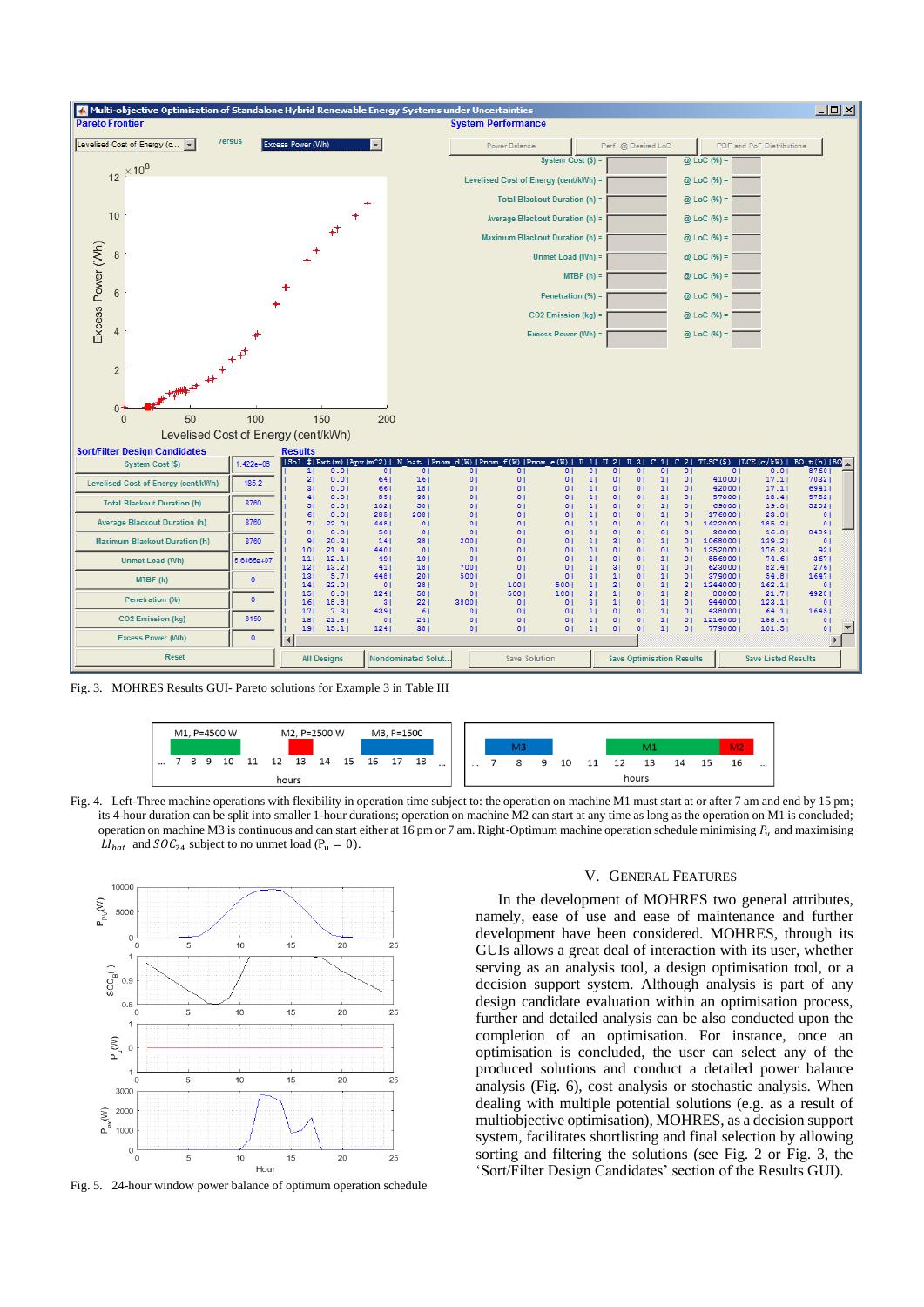

Fig. 3. MOHRES Results GUI- Pareto solutions for Example 3 in Table III



Fig. 4. Left-Three machine operations with flexibility in operation time subject to: the operation on machine M1 must start at or after 7 am and end by 15 pm; its 4-hour duration can be split into smaller 1-hour durations; operation on machine M2 can start at any time as long as the operation on M1 is concluded; operation on machine M3 is continuous and can start either at 16 pm or 7 am. Right-Optimum machine operation schedule minimising  $P_u$  and maximising  $LI_{bat}$  and  $SOC_{24}$  subject to no unmet load (P<sub>u</sub> = 0).



Fig. 5. 24-hour window power balance of optimum operation schedule

# V. GENERAL FEATURES

In the development of MOHRES two general attributes, namely, ease of use and ease of maintenance and further development have been considered. MOHRES, through its GUIs allows a great deal of interaction with its user, whether serving as an analysis tool, a design optimisation tool, or a decision support system. Although analysis is part of any design candidate evaluation within an optimisation process, further and detailed analysis can be also conducted upon the completion of an optimisation. For instance, once an optimisation is concluded, the user can select any of the produced solutions and conduct a detailed power balance analysis (Fig. 6), cost analysis or stochastic analysis. When dealing with multiple potential solutions (e.g. as a result of multiobjective optimisation), MOHRES, as a decision support system, facilitates shortlisting and final selection by allowing sorting and filtering the solutions (see Fig. 2 or Fig. 3, the 'Sort/Filter Design Candidates' section of the Results GUI).